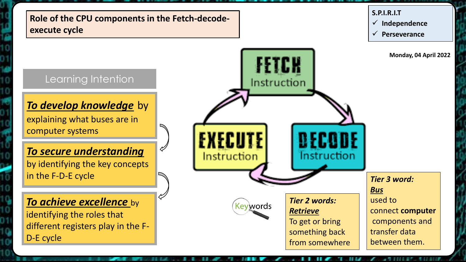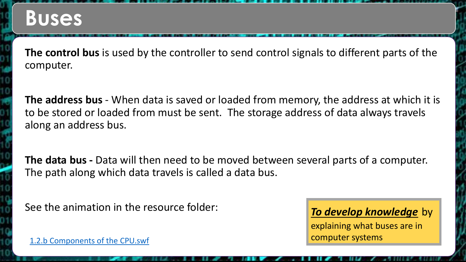**The control bus** is used by the controller to send control signals to different parts of the computer.

**The address bus** - When data is saved or loaded from memory, the address at which it is to be stored or loaded from must be sent. The storage address of data always travels along an address bus.

**The data bus -** Data will then need to be moved between several parts of a computer. The path along which data travels is called a data bus.

See the animation in the resource folder:<br>**To develop knowledge** by

explaining what buses are in computer systems

<1.2.b Components of the CPU.swf>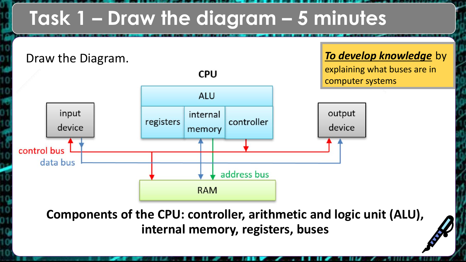## **Task 1 – Draw the diagram – 5 minutes**



**Components of the CPU: controller, arithmetic and logic unit (ALU), internal memory, registers, buses**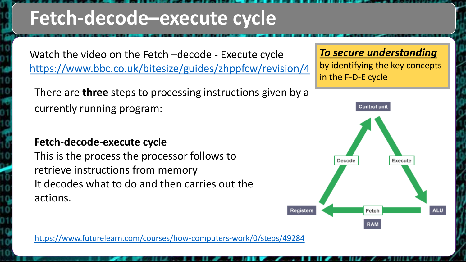## **Fetch-decode–execute cycle**

Watch the video on the Fetch –decode - Execute cycle <https://www.bbc.co.uk/bitesize/guides/zhppfcw/revision/4>

There are **three** steps to processing instructions given by a currently running program:

#### **Fetch-decode-execute cycle**

This is the process the processor follows to retrieve instructions from memory It decodes what to do and then carries out the actions.

*To secure understanding* 

by identifying the key concepts in the F-D-E cycle



<https://www.futurelearn.com/courses/how-computers-work/0/steps/49284>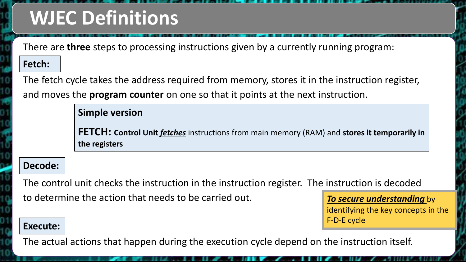## **WJEC Definitions**

There are **three** steps to processing instructions given by a currently running program:

#### **Fetch: Fetch:**

The fetch cycle takes the address required from memory, stores it in the instruction register, and moves the **program counter** on one so that it points at the next instruction.

**Simple version**

**FETCH: Control Unit** *fetches* instructions from main memory (RAM) and stores it temporarily in **the registers**

#### **Decode: Decode:**

The control unit checks the instruction in the instruction register. The instruction is decoded to determine the action that needs to be carried out.

*To secure understanding* by identifying the key concepts in the F-D-E cycle

#### **Execute: Execute:**

The actual actions that happen during the execution cycle depend on the instruction itself.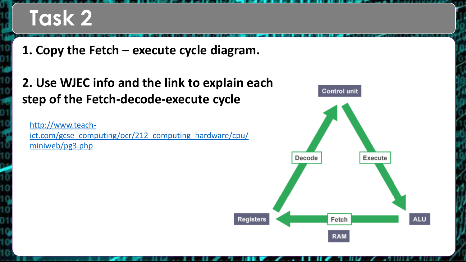# **Task 2**

**1. Copy the Fetch – execute cycle diagram.**

**2. Use WJEC info and the link to explain each step of the Fetch-decode-execute cycle**

http://www.teach[ict.com/gcse\\_computing/ocr/212\\_computing\\_hardware/cpu/](http://www.teach-ict.com/gcse_computing/ocr/212_computing_hardware/cpu/miniweb/pg3.php) miniweb/pg3.php

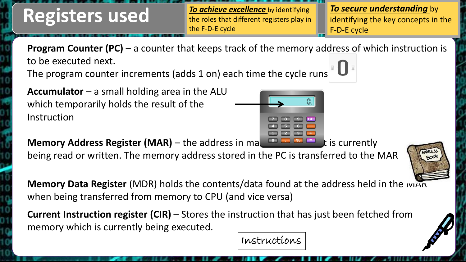### **Registers used**

*To achieve excellence* by identifying the roles that different registers play in the F-D-E cycle

*To secure understanding* by identifying the key concepts in the F-D-E cycle

**Program Counter (PC)** – a counter that keeps track of the memory address of which instruction is to be executed next.

The program counter increments (adds 1 on) each time the cycle runs

**Accumulator** – a small holding area in the ALU which temporarily holds the result of the Instruction

**Memory Address Register (MAR)** – the address in ma**ing the induced by** is currently

being read or written. The memory address stored in the PC is transferred to the MAR

**Memory Data Register** (MDR) holds the contents/data found at the address held in the IVIAR when being transferred from memory to CPU (and vice versa)

**Current Instruction register (CIR)** – Stores the instruction that has just been fetched from memory which is currently being executed.

Instructions

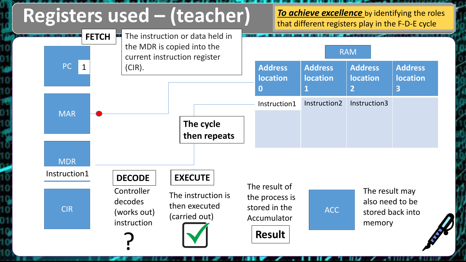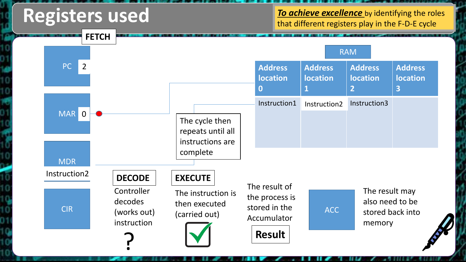### **Registers used**

**To achieve excellence** by identifying the roles that different registers play in the F-D-E cycle

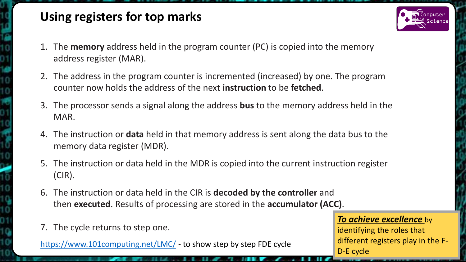### **Using registers for top marks**

- 1. The **memory** address held in the program counter (PC) is copied into the memory address register (MAR).
- 2. The address in the program counter is incremented (increased) by one. The program counter now holds the address of the next **instruction** to be **fetched**.
- 3. The processor sends a signal along the address **bus** to the memory address held in the MAR.
- 4. The instruction or **data** held in that memory address is sent along the data bus to the memory data register (MDR).
- 5. The instruction or data held in the MDR is copied into the current instruction register (CIR).
- 6. The instruction or data held in the CIR is **decoded by the controller** and then **executed**. Results of processing are stored in the **accumulator (ACC)**.
- 7. The cycle returns to step one.

<https://www.101computing.net/LMC/> - to show step by step FDE cycle

#### *To achieve excellence* by

identifying the roles that different registers play in the F-D-E cycle

![](_page_9_Picture_11.jpeg)